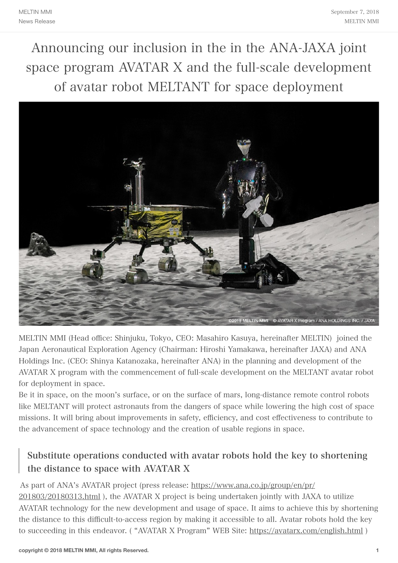Announcing our inclusion in the in the ANA-JAXA joint space program AVATAR X and the full-scale development of avatar robot MELTANT for space deployment



MELTIN MMI (Head office: Shinjuku, Tokyo, CEO: Masahiro Kasuya, hereinafter MELTIN) joined the Japan Aeronautical Exploration Agency (Chairman: Hiroshi Yamakawa, hereinafter JAXA) and ANA Holdings Inc. (CEO: Shinya Katanozaka, hereinafter ANA) in the planning and development of the AVATAR X program with the commencement of full-scale development on the MELTANT avatar robot for deployment in space.

Be it in space, on the moon's surface, or on the surface of mars, long-distance remote control robots like MELTANT will protect astronauts from the dangers of space while lowering the high cost of space missions. It will bring about improvements in safety, efficiency, and cost effectiveness to contribute to the advancement of space technology and the creation of usable regions in space.

## Substitute operations conducted with avatar robots hold the key to shortening the distance to space with AVATAR X

### As part of ANA's AVATAR project (press release: [https://www.ana.co.jp/group/en/pr/](https://www.ana.co.jp/group/en/pr/201803/20180313.html)

[201803/20180313.html](https://www.ana.co.jp/group/en/pr/201803/20180313.html) ), the AVATAR X project is being undertaken jointly with JAXA to utilize AVATAR technology for the new development and usage of space. It aims to achieve this by shortening the distance to this difficult-to-access region by making it accessible to all. Avatar robots hold the key to succeeding in this endeavor. ( "AVATAR X Program" WEB Site: <https://avatarx.com/english.html>)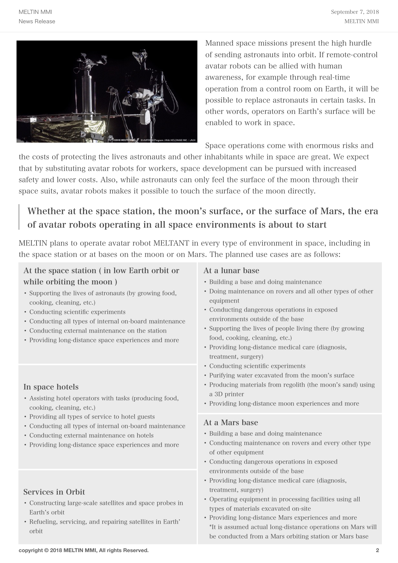

Manned space missions present the high hurdle of sending astronauts into orbit. If remote-control avatar robots can be allied with human awareness, for example through real-time operation from a control room on Earth, it will be possible to replace astronauts in certain tasks. In other words, operators on Earth's surface will be enabled to work in space.

Space operations come with enormous risks and

the costs of protecting the lives astronauts and other inhabitants while in space are great. We expect that by substituting avatar robots for workers, space development can be pursued with increased safety and lower costs. Also, while astronauts can only feel the surface of the moon through their space suits, avatar robots makes it possible to touch the surface of the moon directly.

## Whether at the space station, the moon's surface, or the surface of Mars, the era of avatar robots operating in all space environments is about to start

MELTIN plans to operate avatar robot MELTANT in every type of environment in space, including in the space station or at bases on the moon or on Mars. The planned use cases are as follows:

### At the space station ( in low Earth orbit or while orbiting the moon )

- Supporting the lives of astronauts (by growing food, cooking, cleaning, etc.)
- Conducting scientific experiments
- Conducting all types of internal on-board maintenance
- Conducting external maintenance on the station
- Providing long-distance space experiences and more

#### In space hotels

- Assisting hotel operators with tasks (producing food, cooking, cleaning, etc.)
- Providing all types of service to hotel guests
- Conducting all types of internal on-board maintenance
- Conducting external maintenance on hotels
- Providing long-distance space experiences and more

#### Services in Orbit

- Constructing large-scale satellites and space probes in Earth's orbit
- Refueling, servicing, and repairing satellites in Earth' orbit

#### At a lunar base

- Building a base and doing maintenance
- Doing maintenance on rovers and all other types of other equipment
- Conducting dangerous operations in exposed environments outside of the base
- Supporting the lives of people living there (by growing food, cooking, cleaning, etc.)
- Providing long-distance medical care (diagnosis, treatment, surgery)
- Conducting scientific experiments
- Purifying water excavated from the moon's surface
- Producing materials from regolith (the moon's sand) using a 3D printer
- Providing long-distance moon experiences and more

#### At a Mars base

- Building a base and doing maintenance
- Conducting maintenance on rovers and every other type of other equipment
- Conducting dangerous operations in exposed environments outside of the base
- Providing long-distance medical care (diagnosis, treatment, surgery)
- Operating equipment in processing facilities using all types of materials excavated on-site
- Providing long-distance Mars experiences and more \*It is assumed actual long-distance operations on Mars will be conducted from a Mars orbiting station or Mars base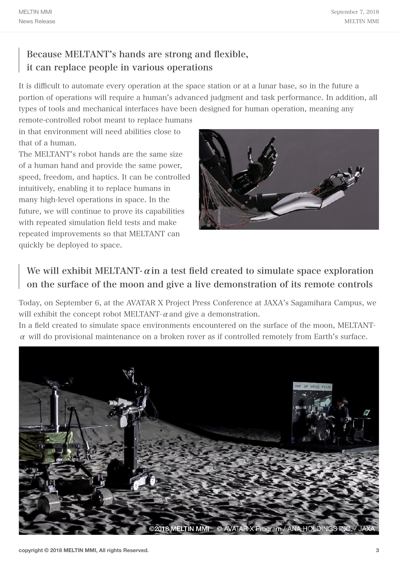# Because MELTANT's hands are strong and flexible, it can replace people in various operations

It is difficult to automate every operation at the space station or at a lunar base, so in the future a portion of operations will require a human's advanced judgment and task performance. In addition, all types of tools and mechanical interfaces have been designed for human operation, meaning any

remote-controlled robot meant to replace humans in that environment will need abilities close to that of a human.

The MELTANT's robot hands are the same size of a human hand and provide the same power, speed, freedom, and haptics. It can be controlled intuitively, enabling it to replace humans in many high-level operations in space. In the future, we will continue to prove its capabilities with repeated simulation field tests and make repeated improvements so that MELTANT can quickly be deployed to space.



# We will exhibit MELTANT- $\alpha$  in a test field created to simulate space exploration on the surface of the moon and give a live demonstration of its remote controls

Today, on September 6, at the AVATAR X Project Press Conference at JAXA's Sagamihara Campus, we will exhibit the concept robot MELTANT- $\alpha$  and give a demonstration.

In a field created to simulate space environments encountered on the surface of the moon, MELTANT- $\alpha$  will do provisional maintenance on a broken rover as if controlled remotely from Earth's surface.